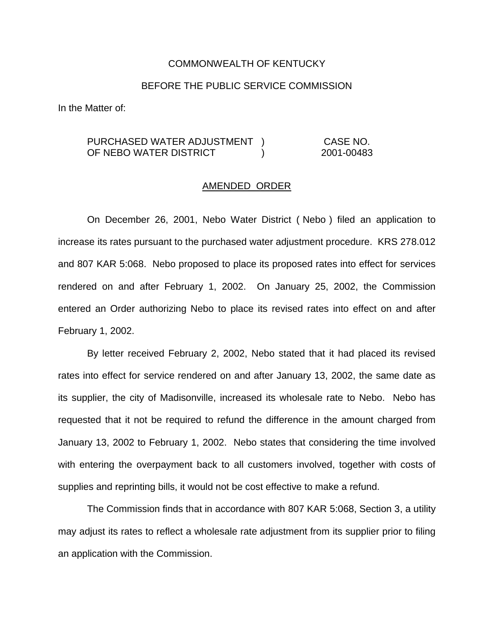## COMMONWEALTH OF KENTUCKY

## BEFORE THE PUBLIC SERVICE COMMISSION

In the Matter of:

## PURCHASED WATER ADJUSTMENT ) CASE NO. OF NEBO WATER DISTRICT ) 2001-00483

## AMENDED ORDER

On December 26, 2001, Nebo Water District ( Nebo ) filed an application to increase its rates pursuant to the purchased water adjustment procedure. KRS 278.012 and 807 KAR 5:068. Nebo proposed to place its proposed rates into effect for services rendered on and after February 1, 2002. On January 25, 2002, the Commission entered an Order authorizing Nebo to place its revised rates into effect on and after February 1, 2002.

By letter received February 2, 2002, Nebo stated that it had placed its revised rates into effect for service rendered on and after January 13, 2002, the same date as its supplier, the city of Madisonville, increased its wholesale rate to Nebo. Nebo has requested that it not be required to refund the difference in the amount charged from January 13, 2002 to February 1, 2002. Nebo states that considering the time involved with entering the overpayment back to all customers involved, together with costs of supplies and reprinting bills, it would not be cost effective to make a refund.

The Commission finds that in accordance with 807 KAR 5:068, Section 3, a utility may adjust its rates to reflect a wholesale rate adjustment from its supplier prior to filing an application with the Commission.